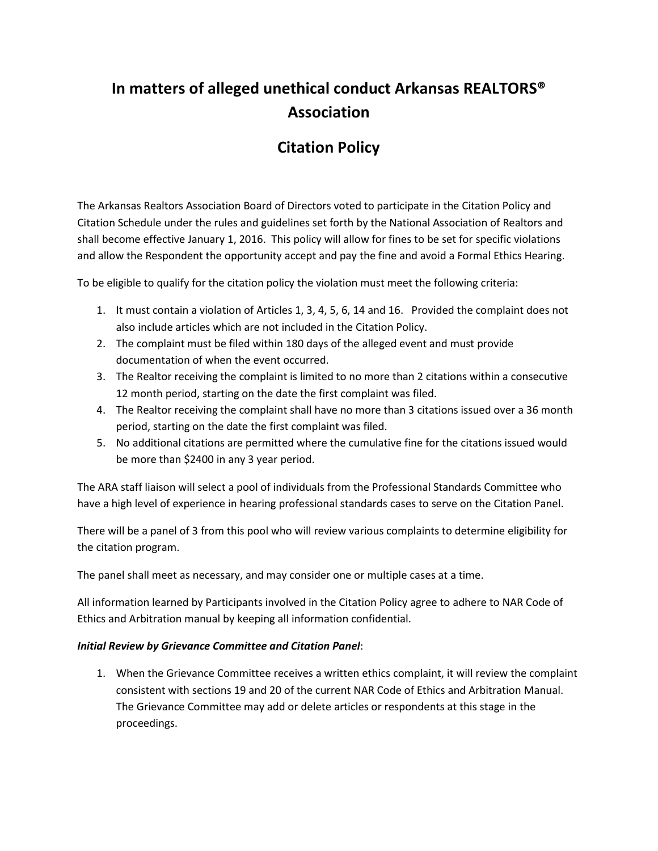# **In matters of alleged unethical conduct Arkansas REALTORS® Association**

# **Citation Policy**

The Arkansas Realtors Association Board of Directors voted to participate in the Citation Policy and Citation Schedule under the rules and guidelines set forth by the National Association of Realtors and shall become effective January 1, 2016. This policy will allow for fines to be set for specific violations and allow the Respondent the opportunity accept and pay the fine and avoid a Formal Ethics Hearing.

To be eligible to qualify for the citation policy the violation must meet the following criteria:

- 1. It must contain a violation of Articles 1, 3, 4, 5, 6, 14 and 16. Provided the complaint does not also include articles which are not included in the Citation Policy.
- 2. The complaint must be filed within 180 days of the alleged event and must provide documentation of when the event occurred.
- 3. The Realtor receiving the complaint is limited to no more than 2 citations within a consecutive 12 month period, starting on the date the first complaint was filed.
- 4. The Realtor receiving the complaint shall have no more than 3 citations issued over a 36 month period, starting on the date the first complaint was filed.
- 5. No additional citations are permitted where the cumulative fine for the citations issued would be more than \$2400 in any 3 year period.

The ARA staff liaison will select a pool of individuals from the Professional Standards Committee who have a high level of experience in hearing professional standards cases to serve on the Citation Panel.

There will be a panel of 3 from this pool who will review various complaints to determine eligibility for the citation program.

The panel shall meet as necessary, and may consider one or multiple cases at a time.

All information learned by Participants involved in the Citation Policy agree to adhere to NAR Code of Ethics and Arbitration manual by keeping all information confidential.

#### *Initial Review by Grievance Committee and Citation Panel*:

1. When the Grievance Committee receives a written ethics complaint, it will review the complaint consistent with sections 19 and 20 of the current NAR Code of Ethics and Arbitration Manual. The Grievance Committee may add or delete articles or respondents at this stage in the proceedings.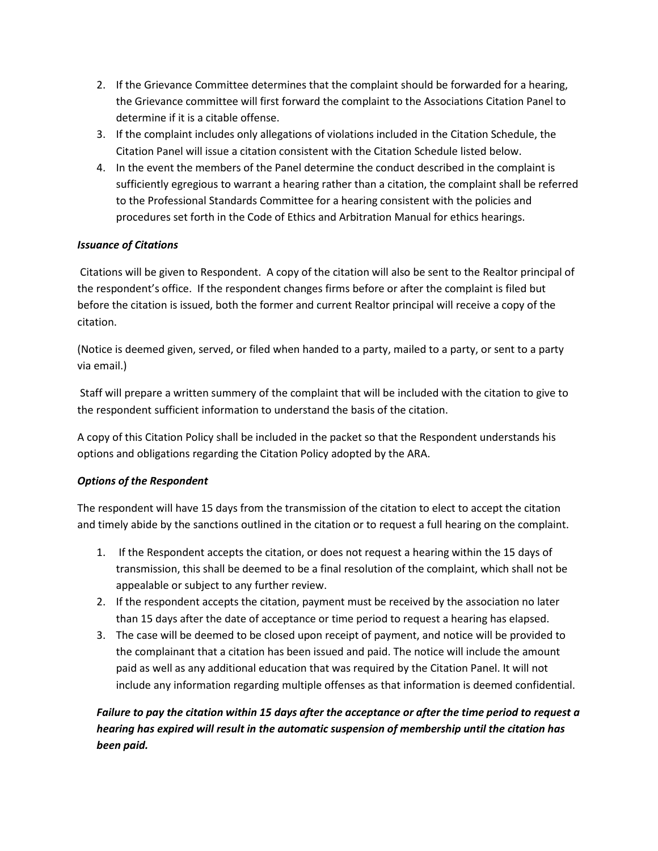- 2. If the Grievance Committee determines that the complaint should be forwarded for a hearing, the Grievance committee will first forward the complaint to the Associations Citation Panel to determine if it is a citable offense.
- 3. If the complaint includes only allegations of violations included in the Citation Schedule, the Citation Panel will issue a citation consistent with the Citation Schedule listed below.
- 4. In the event the members of the Panel determine the conduct described in the complaint is sufficiently egregious to warrant a hearing rather than a citation, the complaint shall be referred to the Professional Standards Committee for a hearing consistent with the policies and procedures set forth in the Code of Ethics and Arbitration Manual for ethics hearings.

## *Issuance of Citations*

Citations will be given to Respondent. A copy of the citation will also be sent to the Realtor principal of the respondent's office. If the respondent changes firms before or after the complaint is filed but before the citation is issued, both the former and current Realtor principal will receive a copy of the citation.

(Notice is deemed given, served, or filed when handed to a party, mailed to a party, or sent to a party via email.)

Staff will prepare a written summery of the complaint that will be included with the citation to give to the respondent sufficient information to understand the basis of the citation.

A copy of this Citation Policy shall be included in the packet so that the Respondent understands his options and obligations regarding the Citation Policy adopted by the ARA.

# *Options of the Respondent*

The respondent will have 15 days from the transmission of the citation to elect to accept the citation and timely abide by the sanctions outlined in the citation or to request a full hearing on the complaint.

- 1. If the Respondent accepts the citation, or does not request a hearing within the 15 days of transmission, this shall be deemed to be a final resolution of the complaint, which shall not be appealable or subject to any further review.
- 2. If the respondent accepts the citation, payment must be received by the association no later than 15 days after the date of acceptance or time period to request a hearing has elapsed.
- 3. The case will be deemed to be closed upon receipt of payment, and notice will be provided to the complainant that a citation has been issued and paid. The notice will include the amount paid as well as any additional education that was required by the Citation Panel. It will not include any information regarding multiple offenses as that information is deemed confidential.

# *Failure to pay the citation within 15 days after the acceptance or after the time period to request a hearing has expired will result in the automatic suspension of membership until the citation has been paid.*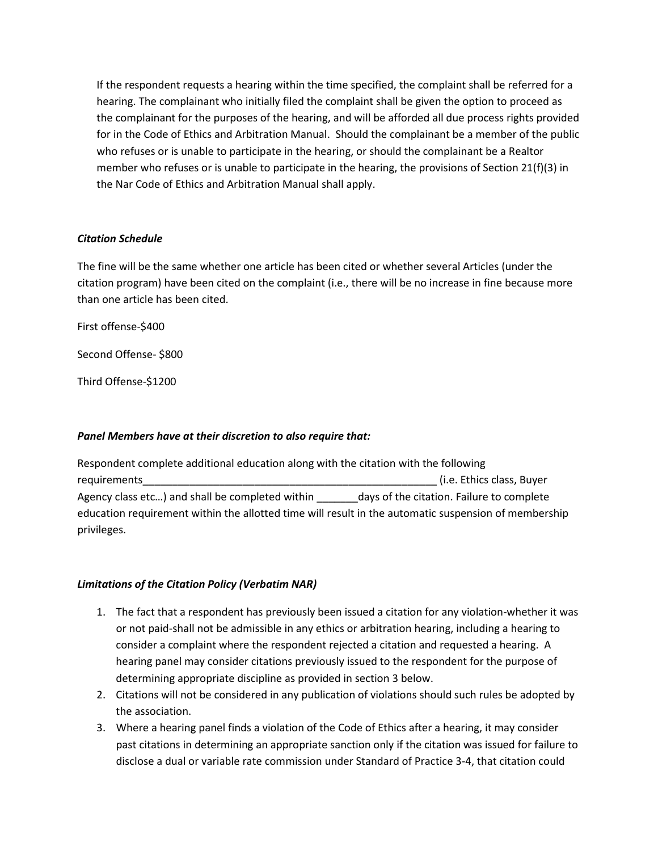If the respondent requests a hearing within the time specified, the complaint shall be referred for a hearing. The complainant who initially filed the complaint shall be given the option to proceed as the complainant for the purposes of the hearing, and will be afforded all due process rights provided for in the Code of Ethics and Arbitration Manual. Should the complainant be a member of the public who refuses or is unable to participate in the hearing, or should the complainant be a Realtor member who refuses or is unable to participate in the hearing, the provisions of Section 21(f)(3) in the Nar Code of Ethics and Arbitration Manual shall apply.

#### *Citation Schedule*

The fine will be the same whether one article has been cited or whether several Articles (under the citation program) have been cited on the complaint (i.e., there will be no increase in fine because more than one article has been cited.

First offense-\$400

Second Offense- \$800

Third Offense-\$1200

### *Panel Members have at their discretion to also require that:*

Respondent complete additional education along with the citation with the following requirements and the contract of the contract of the contract of the contract of the contract of the contract of the contract of the contract of the contract of the contract of the contract of the contract of the contract Agency class etc...) and shall be completed within \_\_\_\_\_\_\_ days of the citation. Failure to complete education requirement within the allotted time will result in the automatic suspension of membership privileges.

### *Limitations of the Citation Policy (Verbatim NAR)*

- 1. The fact that a respondent has previously been issued a citation for any violation-whether it was or not paid-shall not be admissible in any ethics or arbitration hearing, including a hearing to consider a complaint where the respondent rejected a citation and requested a hearing. A hearing panel may consider citations previously issued to the respondent for the purpose of determining appropriate discipline as provided in section 3 below.
- 2. Citations will not be considered in any publication of violations should such rules be adopted by the association.
- 3. Where a hearing panel finds a violation of the Code of Ethics after a hearing, it may consider past citations in determining an appropriate sanction only if the citation was issued for failure to disclose a dual or variable rate commission under Standard of Practice 3-4, that citation could